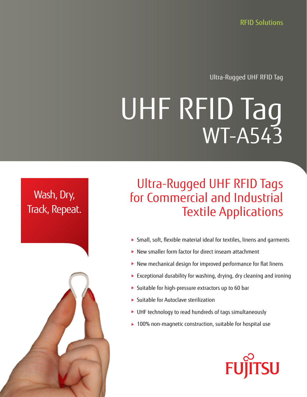RFID Solutions

Ultra-Rugged UHF RFID Tag

# UHF RFID Tag WT-A543

## Wash, Dry, Track, Repeat.

# Ultra-Rugged UHF RFID Tags for Commercial and Industrial Textile Applications

- Small, soft, flexible material ideal for textiles, linens and garments
- New smaller form factor for direct inseam attachment
- New mechanical design for improved performance for flat linens
- Exceptional durability for washing, drying, dry cleaning and ironing
- Suitable for high-pressure extractors up to 60 bar
- Suitable for Autoclave sterilization
- UHF technology to read hundreds of tags simultaneously
- ▶ 100% non-magnetic construction, suitable for hospital use